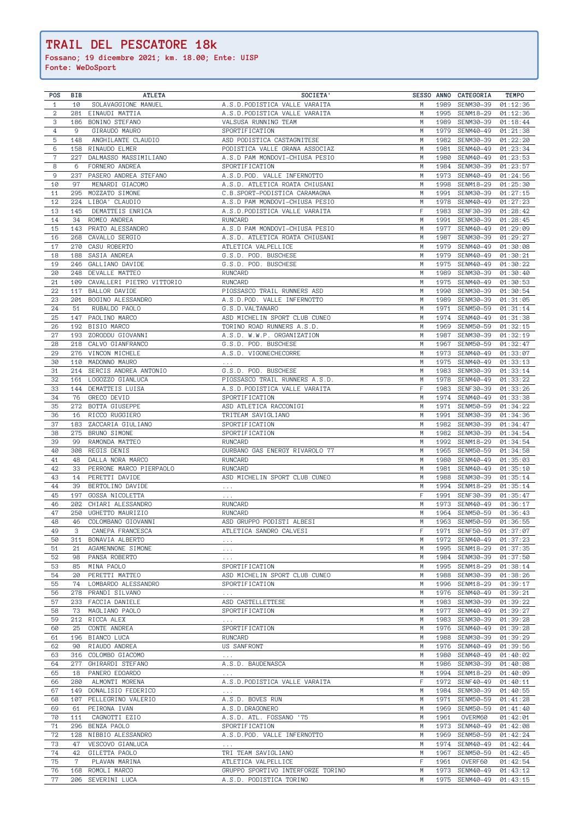| <b>POS</b>     | <b>BIB</b> | <b>ATLETA</b>                 | SOCIETA'                                            |        |      | SESSO ANNO CATEGORIA    | <b>TEMPO</b> |
|----------------|------------|-------------------------------|-----------------------------------------------------|--------|------|-------------------------|--------------|
| $\mathbf{1}$   | 10         | SOLAVAGGIONE MANUEL           | A.S.D. PODISTICA VALLE VARAITA                      | M      | 1989 | SENM30-39               | 01:12:36     |
| $\overline{a}$ | 281        | EINAUDI MATTIA                | A.S.D. PODISTICA VALLE VARAITA                      | M      |      | 1995 SENM18-29          | 01:12:36     |
| 3              | 186        | BONINO STEFANO                | VALSUSA RUNNING TEAM                                | M      | 1989 | SENM30-39               | 01:18:44     |
| $\overline{4}$ | 9          | GIRAUDO MAURO                 | SPORTIFICATION                                      | M      | 1979 | SENM40-49               | 01:21:38     |
| $\overline{5}$ | 148        | ANGHILANTE CLAUDIO            | ASD PODISTICA CASTAGNITESE                          | M      | 1982 | SENM30-39               | 01:22:20     |
| $6\,$          | 158        | RINAUDO ELMER                 | PODISTICA VALLE GRANA ASSOCIAZ                      | M      | 1981 | SENM40-49               | 01:23:34     |
| $7\phantom{.}$ | 227        | DALMASSO MASSIMILIANO         | A.S.D PAM MONDOVI-CHIUSA PESIO                      | M      | 1980 | SENM40-49               | 01:23:53     |
| 8              | 6          | FORNERO ANDREA                | SPORTIFICATION                                      | M      | 1984 | SENM30-39               | 01:23:57     |
| $\mathsf 9$    | 237        | PASERO ANDREA STEFANO         | A.S.D.POD. VALLE INFERNOTTO                         | M      |      | 1973 SENM40-49          | 01:24:56     |
| 10             | 97         | MENARDI GIACOMO               | A.S.D. ATLETICA ROATA CHIUSANI                      | M      | 1998 | SENM18-29               | 01:25:30     |
| 11             | 295        | MOZZATO SIMONE                | C.B.SPORT-PODISTICA CARAMAGNA                       | M      | 1991 | SENM30-39               | 01:27:15     |
| 12             |            | 224 LIBOA' CLAUDIO            | A.S.D PAM MONDOVI-CHIUSA PESIO                      | M      |      | 1978 SENM40-49          | 01:27:23     |
|                |            |                               |                                                     | F      |      |                         |              |
| 13             | 145        | DEMATTEIS ENRICA              | A.S.D. PODISTICA VALLE VARAITA                      |        | 1983 | SENF30-39               | 01:28:42     |
| 14             | 34         | ROMEO ANDREA                  | RUNCARD                                             | M      | 1991 | SENM30-39               | 01:28:45     |
| 15             | 143        | PRATO ALESSANDRO              | A.S.D PAM MONDOVI-CHIUSA PESIO                      | M      | 1977 | SENM40-49               | 01:29:09     |
| 16             | 268        | CAVALLO SERGIO                | A.S.D. ATLETICA ROATA CHIUSANI                      | M      | 1987 | SENM30-39               | 01:29:27     |
| 17             | 270        | CASU ROBERTO                  | ATLETICA VALPELLICE                                 | M      | 1979 | SENM40-49               | 01:30:08     |
| 18             | 188        | SASIA ANDREA                  | G.S.D. POD. BUSCHESE                                | M      | 1979 | SENM40-49               | 01:30:21     |
| 19             | 246        | GALLIANO DAVIDE               | G.S.D. POD. BUSCHESE                                | M      | 1975 | SENM40-49               | 01:30:22     |
| 20             |            | 248 DEVALLE MATTEO            | RUNCARD                                             | M      | 1989 | SENM30-39               | 01:30:40     |
| 21             |            | 109 CAVALLERI PIETRO VITTORIO | RUNCARD                                             | M      |      | 1975 SENM40-49          | 01:30:53     |
| 22             |            | 117 BALLOR DAVIDE             | PIOSSASCO TRAIL RUNNERS ASD                         | M      | 1990 | SENM30-39               | 01:30:54     |
| 23             |            | 201 BOGINO ALESSANDRO         | A.S.D.POD. VALLE INFERNOTTO                         | M      | 1989 | SENM30-39               | 01:31:05     |
| 24             | 51         | RUBALDO PAOLO                 | G.S.D. VALTANARO                                    | M      | 1971 | SENM50-59               | 01:31:14     |
| 25             |            | 147 PAOLINO MARCO             | ASD MICHELIN SPORT CLUB CUNEO                       | M      | 1974 | SENM40-49               | 01:31:38     |
| 26             |            | 192 BISIO MARCO               | TORINO ROAD RUNNERS A.S.D.                          | M      | 1969 | SENM50-59               | 01:32:15     |
| 27             | 193        | ZORODDU GIOVANNI              | A.S.D. W.W.P. ORGANIZATION                          | M      | 1987 | SENM30-39               | 01:32:19     |
| 28             | 218        | CALVO GIANFRANCO              | G.S.D. POD. BUSCHESE                                | M      | 1967 | SENM50-59               | 01:32:47     |
| 29             | 276        | VINCON MICHELE                | A.S.D. VIGONECHECORRE                               | M      | 1973 | SENM40-49               | 01:33:07     |
| 30             |            | 110 MADONNO MAURO             | $\mathcal{A}=\mathcal{A}=\mathcal{A}$ .             | M      | 1975 | SENM40-49               | 01:33:13     |
| 31             |            | 214 SERCIS ANDREA ANTONIO     | G.S.D. POD. BUSCHESE                                | M      | 1983 | SENM30-39               | 01:33:14     |
| 32             |            | 161 LOGOZZO GIANLUCA          | PIOSSASCO TRAIL RUNNERS A.S.D.                      | M      |      | 1978 SENM40-49 01:33:22 |              |
| 33             |            | 144 DEMATTEIS LUISA           | A.S.D. PODISTICA VALLE VARAITA                      | F      |      | 1983 SENF30-39 01:33:26 |              |
| 34             |            | 76 GRECO DEVID                | SPORTIFICATION                                      |        | 1974 | SENM40-49               | 01:33:38     |
| 35             | 272        | BOTTA GIUSEPPE                | ASD ATLETICA RACCONIGI                              | M      | 1971 | SENM50-59               | 01:34:22     |
| 36             | 16         | RICCO RUGGIERO                | TRITEAM SAVIGLIANO                                  | M      | 1991 | SENM30-39               | 01:34:36     |
| 37             | 183        | ZACCARIA GIULIANO             | SPORTIFICATION                                      | M      | 1982 | SENM30-39               | 01:34:47     |
| 38             | 275        | BRUNO SIMONE                  | SPORTIFICATION                                      | M      | 1982 | SENM30-39               | 01:34:54     |
| 39             | 99         | RAMONDA MATTEO                | <b>RUNCARD</b>                                      | M      | 1992 | SENM18-29               | 01:34:54     |
| 40             | 308        | <b>REGIS DENIS</b>            | DURBANO GAS ENERGY RIVAROLO 77                      | M      | 1965 | SENM50-59               | 01:34:58     |
| 41             | 48         | DALLA NORA MARCO              | <b>RUNCARD</b>                                      | M      | 1980 | SENM40-49               | 01:35:03     |
| 42             | 33         | PERRONE MARCO PIERPAOLO       | <b>RUNCARD</b>                                      | M      | 1981 | SENM40-49               | 01:35:10     |
| 43             | 14         | PERETTI DAVIDE                | ASD MICHELIN SPORT CLUB CUNEO                       | M      | 1988 | SENM30-39               | 01:35:14     |
| 44             | 39         | BERTOLINO DAVIDE              | $\alpha$ , $\alpha$ , $\alpha$                      | M      | 1994 | SENM18-29               | 01:35:14     |
| 45             | 197        | GOSSA NICOLETTA               | $\alpha$ , $\alpha$ , $\alpha$                      | F      | 1991 | SENF30-39               | 01:35:47     |
| 46             | 202        | CHIARI ALESSANDRO             | <b>RUNCARD</b>                                      | M      | 1973 | SENM40-49               | 01:36:17     |
| 47             | 250        | UGHETTO MAURIZIO              | <b>RUNCARD</b>                                      | M      | 1964 | SENM50-59               | 01:36:43     |
| 48             | 46         | COLOMBANO GIOVANNI            | ASD GRUPPO PODISTI ALBESI                           | M      | 1963 | SENM50-59               | 01:36:55     |
| 49             | 3          | CANEPA FRANCESCA              | ATLETICA SANDRO CALVESI                             | F      | 1971 | SENF50-59               | 01:37:07     |
| 50             | 311        | BONAVIA ALBERTO               | $\alpha$ , $\alpha$ , $\alpha$                      | M      | 1972 | SENM40-49               | 01:37:23     |
| 51             | 21         | AGAMENNONE SIMONE             | $\alpha$ , $\alpha$ , $\alpha$                      | M      | 1995 | SENM18-29               | 01:37:35     |
| 52             | 98         | PANSA ROBERTO                 | $\alpha$ , $\alpha$ , $\alpha$                      | M      | 1984 | SENM30-39               | 01:37:50     |
| 53             | 85         | MINA PAOLO                    | SPORTIFICATION                                      | M      | 1995 | SENM18-29               | 01:38:14     |
| 54             | 20         | PERETTI MATTEO                | ASD MICHELIN SPORT CLUB CUNEO                       | M      | 1988 | SENM30-39               | 01:38:26     |
| 55             | 74         | LOMBARDO ALESSANDRO           | SPORTIFICATION                                      | M      | 1996 | SENM18-29               | 01:39:17     |
| 56             | 278        | PRANDI SILVANO                | $\alpha$ , $\alpha$ , $\alpha$                      | M      | 1976 | SENM40-49               | 01:39:21     |
| 57             | 233        | FACCIA DANIELE                | ASD CASTELLETTESE                                   | M      | 1983 | SENM30-39               | 01:39:22     |
| 58             | 73         | MAGLIANO PAOLO                | SPORTIFICATION                                      | M      | 1977 | SENM40-49               | 01:39:27     |
| 59             | 212        | RICCA ALEX                    | $\alpha$ , $\alpha$ , $\alpha$                      | M      | 1983 | SENM30-39               | 01:39:28     |
| 60             | 25         | CONTE ANDREA                  | SPORTIFICATION                                      | M      | 1976 | SENM40-49               | 01:39:28     |
| 61             | 196        | <b>BIANCO LUCA</b>            | <b>RUNCARD</b>                                      | M      | 1988 | SENM30-39               | 01:39:29     |
| 62             | 90         | RIAUDO ANDREA                 | US SANFRONT                                         | M      | 1976 | SENM40-49               | 01:39:56     |
| 63             | 316        | COLOMBO GIACOMO               |                                                     | M      | 1980 | SENM40-49               | 01:40:02     |
| 64             | 277        | GHIRARDI STEFANO              | $\alpha$ , $\alpha$ , $\alpha$<br>A.S.D. BAUDENASCA | M      | 1986 | SENM30-39               | 01:40:08     |
|                |            | PANERO EDOARDO                |                                                     |        | 1994 |                         | 01:40:09     |
| 65             | 18         | ALMONTI MORENA                | $\alpha$ , $\alpha$ , $\alpha$                      | M<br>F | 1972 | SENM18-29               | 01:40:11     |
| 66             | 280        | DONALISIO FEDERICO            | A.S.D. PODISTICA VALLE VARAITA                      |        |      | SENF40-49               |              |
| 67             | 149        |                               | $\alpha$ , $\alpha$ , $\alpha$                      | M      |      | 1984 SENM30-39          | 01:40:55     |
| 68             |            | 107 PELLEGRINO VALERIO        | A.S.D. BOVES RUN                                    | M      | 1971 | SENM50-59               | 01:41:28     |
| 69             | 61         | PEIRONA IVAN                  | A.S.D.DRAGONERO                                     | M      | 1969 | SENM50-59               | 01:41:40     |
| 70             | 111        | CAGNOTTI EZIO                 | A.S.D. ATL. FOSSANO '75                             | M      | 1961 | OVERM60                 | 01:42:01     |
| 71             | 296        | BENZA PAOLO                   | SPORTIFICATION                                      | M      | 1973 | SENM40-49               | 01:42:08     |
| 72             | 128        | NIBBIO ALESSANDRO             | A.S.D.POD. VALLE INFERNOTTO                         | M      | 1969 | SENM50-59               | 01:42:24     |
| 73             | 47         | VESCOVO GIANLUCA              | $\sim$ $\sim$                                       | M      | 1974 | SENM40-49               | 01:42:44     |
| 74             | 42         | GILETTA PAOLO                 | TRI TEAM SAVIGLIANO                                 | M      | 1967 | SENM50-59               | 01:42:45     |
| 75             | 7          | PLAVAN MARINA                 | ATLETICA VALPELLICE                                 | F      | 1961 | OVERF60                 | 01:42:54     |
| 76             | 168        | ROMOLI MARCO                  | GRUPPO SPORTIVO INTERFORZE TORINO                   | M      | 1973 | SENM40-49               | 01:43:12     |
| 77             | 206        | SEVERINI LUCA                 | A.S.D. PODISTICA TORINO                             | M      | 1975 | SENM40-49               | 01:43:15     |

## **TRAIL DEL PESCATORE 18k**

**Fossano; 19 dicembre 2021; km. 18.00; Ente: UISP Fonte: WeDoSport**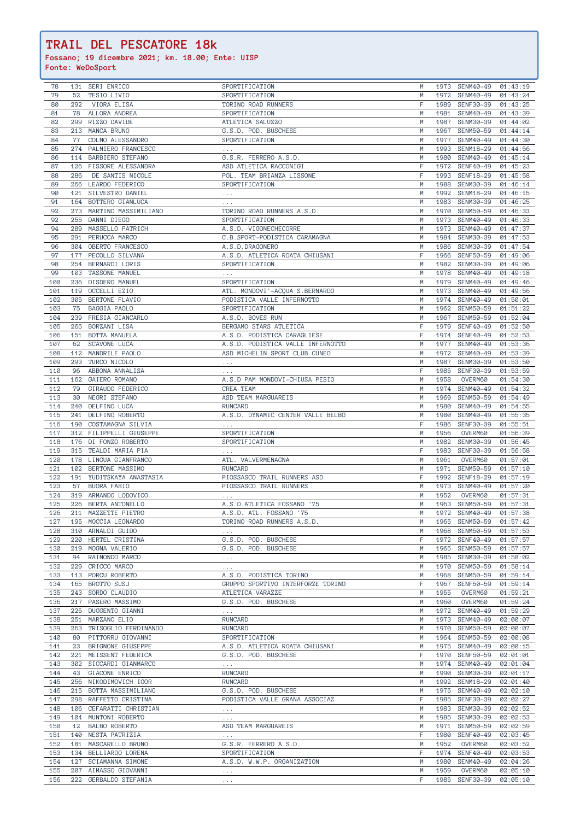## **TRAIL DEL PESCATORE 18k**

**Fossano; 19 dicembre 2021; km. 18.00; Ente: UISP Fonte: WeDoSport**

| 78         |     | 131 SERI ENRICO                               | SPORTIFICATION                            | M      |      | 1973 SENM40-49 01:43:19   |                      |
|------------|-----|-----------------------------------------------|-------------------------------------------|--------|------|---------------------------|----------------------|
| 79         | 52  | TESIO LIVIO                                   | SPORTIFICATION                            | M      | 1972 | SENM40-49                 | 01:43:24             |
| 80         | 292 | VIORA ELISA                                   | TORINO ROAD RUNNERS                       | F      |      | 1989 SENF30-39            | 01:43:25             |
| 81         | 78  | ALLORA ANDREA                                 | SPORTIFICATION                            | M      | 1981 | SENM40-49                 | 01:43:39             |
| 82         | 299 | RIZZO DAVIDE                                  | ATLETICA SALUZZO                          | M      | 1987 | SENM30-39                 | 01:44:02             |
| 83         | 213 | MANCA BRUNO                                   | G.S.D. POD. BUSCHESE                      | M      | 1967 | SENM50-59                 | 01:44:14             |
| 84         | 77  | COLMO ALESSANDRO                              | SPORTIFICATION                            | M      | 1977 | SENM40-49                 | 01:44:30             |
|            |     |                                               |                                           |        |      |                           |                      |
| 85         |     | 274 PALMIERO FRANCESCO                        | $\alpha$ , $\alpha$ , $\alpha$            | M      | 1993 | SENM18-29                 | 01:44:56             |
| 86         |     | 114 BARBIERO STEFANO                          | G.S.R. FERRERO A.S.D.                     | M      |      | 1980 SENM40-49            | 01:45:14             |
| 87         | 126 | FISSORE ALESSANDRA                            | ASD ATLETICA RACCONIGI                    | F      |      | 1972 SENF40-49            | 01:45:23             |
| 88         | 286 | DE SANTIS NICOLE                              | POL. TEAM BRIANZA LISSONE                 | F      | 1993 | SENF18-29                 | 01:45:58             |
| 89         |     | 266 LEARDO FEDERICO                           | SPORTIFICATION                            | M      | 1988 | SENM30-39                 | 01:46:14             |
| 90         |     | 121 SILVESTRO DANIEL                          | $\mathbf{r} \rightarrow \mathbf{r}$ .     | M      | 1992 | SENM18-29                 | 01:46:15             |
| 91         |     | 164 BOTTERO GIANLUCA                          | $\alpha$ , $\alpha$ , $\alpha$            | M      |      | 1983 SENM30-39            | 01:46:25             |
| 92         | 273 | MARTINO MASSIMILIANO                          | TORINO ROAD RUNNERS A.S.D.                | M      |      | 1970 SENM50-59            | 01:46:33             |
| 92         | 255 | DANNI DIEGO                                   | SPORTIFICATION                            | M      | 1973 | SENM40-49                 | 01:46:33             |
| 94         | 289 | MASSELLO PATRICH                              | A.S.D. VIGONECHECORRE                     | M      | 1973 | SENM40-49                 | 01:47:37             |
| 95         | 291 | PERUCCA MARCO                                 | C.B.SPORT-PODISTICA CARAMAGNA             | M      | 1984 | SENM30-39                 | 01:47:53             |
| 96         |     | 304 OBERTO FRANCESCO                          | A.S.D.DRAGONERO                           | M      | 1986 | SENM30-39                 | 01:47:54             |
| 97         |     | 177 PECOLLO SILVANA                           | A.S.D. ATLETICA ROATA CHIUSANI            | F      |      | 1966 SENF50-59            | 01:49:06             |
|            |     |                                               |                                           |        |      |                           |                      |
| 98         |     | 254 BERNARDI LORIS                            | SPORTIFICATION                            | M      |      | 1982 SENM30-39            | 01:49:06             |
| 99         | 103 | TASSONE MANUEL                                | $\mathbf{r}=\mathbf{r}+\mathbf{r}$ .      | M      | 1978 | SENM40-49                 | 01:49:18             |
| 100        | 236 | DISDERO MANUEL                                | SPORTIFICATION                            | M      |      | 1979 SENM40-49            | 01:49:46             |
| 101        | 119 | OCCELLI EZIO                                  | ATL. MONDOVI'-ACQUA S.BERNARDO            | M      |      | 1973 SENM40-49            | 01:49:56             |
| 102        | 305 | BERTONE FLAVIO                                | PODISTICA VALLE INFERNOTTO                | M      | 1974 | SENM40-49                 | 01:50:01             |
| 103        | 75  | BAGGIA PAOLO                                  | SPORTIFICATION                            | M      | 1962 | SENM50-59                 | 01:51:22             |
| 104        | 239 | FRESIA GIANCARLO                              | A.S.D. BOVES RUN                          | M      | 1967 | SENM50-59                 | 01:52:04             |
| 105        | 265 | BORZANI LISA                                  | BERGAMO STARS ATLETICA                    | F      | 1979 | SENF40-49                 | 01:52:50             |
| 106        | 151 | BOTTA MANUELA                                 | A.S.D. PODISTICA CARAGLIESE               | F      | 1974 | SENF40-49                 | 01:52:53             |
| 107        | 62  | SCAVONE LUCA                                  | A.S.D. PODISTICA VALLE INFERNOTTO         | M      | 1977 | SENM40-49                 | 01:53:36             |
| 108        | 112 | MANDRILE PAOLO                                | ASD MICHELIN SPORT CLUB CUNEO             | M      | 1972 | SENM40-49                 | 01:53:39             |
| 109        |     | 293 TURCO NICOLO                              |                                           | M      | 1987 | SENM30-39                 | 01:53:50             |
| 110        | 96  | ABBONA ANNALISA                               | $\alpha$ , $\alpha$ , $\alpha$            |        |      | 1985 SENF30-39            | 01:53:59             |
| 111        |     | 162 GAIERO ROMANO                             | $\alpha$ , $\alpha$ , $\alpha$            | M      | 1958 |                           |                      |
|            |     |                                               | A.S.D PAM MONDOVI-CHIUSA PESIO            |        |      | OVERM60                   | 01:54:30             |
| 112        | 79  | GIRAUDO FEDERICO                              | CREA TEAM                                 |        |      | 1974 SENM40-49            | 01:54:32             |
| 113        | 30  | NEGRI STEFANO                                 | ASD TEAM MARGUAREIS                       | M      | 1969 | SENM50-59                 | 01:54:49             |
| 114        | 240 | DELFINO LUCA                                  | <b>RUNCARD</b>                            | M      | 1980 | SENM40-49                 | 01:54:55             |
| 115        |     | 241 DELFINO ROBERTO                           | A.S.D. DYNAMIC CENTER VALLE BELBO         | M      | 1980 | SENM40-49                 | 01:55:35             |
| 116        |     | 190 COSTAMAGNA SILVIA                         | $\mathbf{r} \rightarrow \mathbf{r}$ .     |        | 1986 | SENF30-39                 | 01:55:51             |
| 117        |     | 312 FILIPPELLI GIUSEPPE                       | SPORTIFICATION                            | M      | 1956 | OVERM60                   | 01:56:39             |
| 118        |     | 176 DI FONZO ROBERTO                          | SPORTIFICATION                            | M      | 1982 | SENM30-39                 | 01:56:45             |
|            |     |                                               |                                           |        |      |                           |                      |
| 119        | 315 | TEALDI MARIA PIA                              | $\mathbf{r} = \mathbf{r} + \mathbf{r}$ .  | F      | 1983 | SENF30-39                 | 01:56:58             |
| 120        |     | 178 LINGUA GIANFRANCO                         | ATL. VALVERMENAGNA                        | M      | 1961 | OVERM60                   | 01:57:01             |
| 121        |     |                                               | <b>RUNCARD</b>                            | M      | 1971 | SENM50-59                 |                      |
|            |     | 102 BERTONE MASSIMO                           |                                           |        |      |                           | 01:57:10             |
| 122        | 191 | YUDITSKAYA ANASTASIA                          | PIOSSASCO TRAIL RUNNERS ASD               | F      | 1992 | SENF18-29                 | 01:57:19             |
| 123        | 57  | BUORA FABIO                                   | PIOSSASCO TRAIL RUNNERS                   | M      | 1973 | SENM40-49                 | 01:57:20             |
| 124        | 319 | ARMANDO LODOVICO                              | $\alpha$ , $\alpha$ , $\alpha$ ,          | M      | 1952 | OVERM60                   | 01:57:31             |
| 125        | 226 | BERTA ANTONELLO                               | A.S.D. ATLETICA FOSSANO '75               | M      | 1963 | SENM50-59                 | 01:57:31             |
| 126        | 211 | MAZZETTE PIETRO                               | A.S.D. ATL. FOSSANO '75                   | M      | 1972 | SENM40-49                 | 01:57:38             |
| 127        | 195 | MOCCIA LEONARDO                               | TORINO ROAD RUNNERS A.S.D.                | M      | 1965 | SENM50-59                 | 01:57:42             |
| 128        | 310 | ARNALDI GUIDO                                 | $\alpha$ , $\alpha$ , $\alpha$            | M      | 1968 | SENM50-59                 | 01:57:53             |
| 129        | 220 | HERTEL CRISTINA                               | G.S.D. POD. BUSCHESE                      |        |      | 1972 SENF40-49            | 01:57:57             |
| 130        | 219 | MOGNA VALERIO                                 | G.S.D. POD. BUSCHESE                      | M      | 1965 | SENM50-59                 | 01:57:57             |
| 131        | 94  | RAIMONDO MARCO                                | $\alpha$ , $\alpha$ , $\alpha$            | M      | 1985 | SENM30-39                 | 01:58:02             |
| 132        | 229 | CRICCO MARCO                                  | $\sim$ $\sim$ $\sim$                      | M      | 1970 | SENM50-59                 | 01:58:14             |
| 133        | 113 | PORCU ROBERTO                                 | A.S.D. PODISTICA TORINO                   | M      | 1968 | SENM50-59                 | 01:59:14             |
| 134        | 165 | BROTTO SUSJ                                   | GRUPPO SPORTIVO INTERFORZE TORINO         | F      | 1967 | SENF50-59                 | 01:59:14             |
| 135        | 243 | SORDO CLAUDIO                                 | ATLETICA VARAZZE                          | M      | 1955 | OVERM60                   | 01:59:21             |
|            |     |                                               |                                           |        |      |                           |                      |
| 136        | 217 | PASERO MASSIMO                                | G.S.D. POD. BUSCHESE                      | M      | 1960 | OVERM60                   | 01:59:24             |
| 137        | 225 | DUGGENTO GIANNI                               | $\alpha$ , $\alpha$ , $\alpha$ , $\alpha$ | M      | 1972 | SENM40-49                 | 01:59:29             |
| 138        |     | 251 MARZANO ELIO                              | <b>RUNCARD</b>                            | M      | 1973 | SENM40-49                 | 02:00:07             |
| 139        | 263 | TRISOGLIO FERDINANDO                          | <b>RUNCARD</b>                            | M      | 1970 | SENM50-59                 | 02:00:07             |
| 140        | 80  | PITTORRU GIOVANNI                             | SPORTIFICATION                            | M      | 1964 | SENM50-59                 | 02:00:08             |
| 141        | 23  | BRIGNONE GIUSEPPE                             | A.S.D. ATLETICA ROATA CHIUSANI            | M      | 1975 | SENM40-49                 | 02:00:15             |
| 142        | 221 | MEISSENT FEDERICA                             | G.S.D. POD. BUSCHESE                      | F      | 1970 | SENF50-59                 | 02:01:01             |
| 143        | 302 | SICCARDI GIANMARCO                            | $\mathbf{r} \rightarrow \mathbf{r}$ .     | M      | 1974 | SENM40-49                 | 02:01:04             |
| 144        | 43  | GIACONE ENRICO                                | <b>RUNCARD</b>                            | M      | 1990 | SENM30-39                 | 02:01:17             |
| 145        | 256 | NIKODIMOVICH IGOR                             | <b>RUNCARD</b>                            | M      |      | 1992 SENM18-29            | 02:01:40             |
| 146        |     | 215 BOTTA MASSIMILIANO                        | G.S.D. POD. BUSCHESE                      | M      |      | 1975 SENM40-49            | 02:02:10             |
| 147        |     | 298 RAFFETTO CRISTINA                         | PODISTICA VALLE GRANA ASSOCIAZ            | F      |      | 1985 SENF30-39 02:02:27   |                      |
| 148        |     | 106 CEFARATTI CHRISTIAN                       | $\mathbf{r} \rightarrow \mathbf{r}$ .     | M      | 1983 | SENM30-39                 | 02:02:52             |
|            |     |                                               |                                           | M      | 1985 |                           |                      |
| 149        |     | 104 MUNTONI ROBERTO                           | $\sim$ $\sim$ $\sim$                      |        |      | SENM30-39                 | 02:02:53             |
| 150        | 12  | BALBO ROBERTO                                 | ASD TEAM MARGUAREIS                       | M      | 1971 | SENM50-59                 | 02:02:59             |
| 151        |     | 140 NESTA PATRIZIA                            | $\sim$ $\sim$                             | F      | 1980 | SENF40-49                 | 02:03:45             |
| 152        |     | 181 MASCARELLO BRUNO                          | G.S.R. FERRERO A.S.D.                     | M      | 1952 | OVERM60                   | 02:03:52             |
| 153        |     | 134 BELLIARDO LORENA                          | SPORTIFICATION                            | F      | 1974 | SENF40-49                 | 02:03:53             |
| 154        |     | 127 SCIAMANNA SIMONE                          | A.S.D. W.W.P. ORGANIZATION                | M      | 1980 | SENM40-49                 | 02:04:26             |
| 155<br>156 |     | 207 AIMASSO GIOVANNI<br>222 GERBALDO STEFANIA | $\mathbf{r} \rightarrow \mathbf{r}$ .     | M<br>F | 1959 | OVERM60<br>1985 SENF30-39 | 02:05:10<br>02:05:10 |